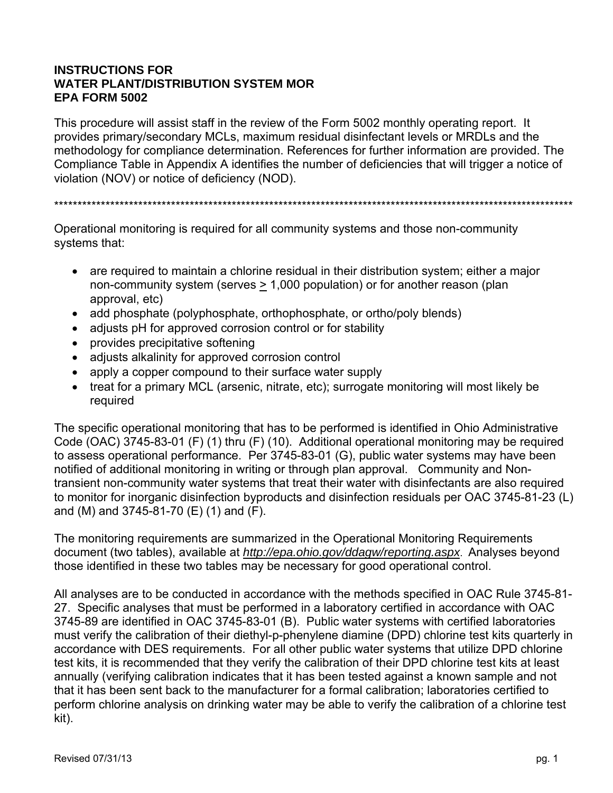### **INSTRUCTIONS FOR WATER PLANT/DISTRIBUTION SYSTEM MOR EPA FORM 5002**

This procedure will assist staff in the review of the Form 5002 monthly operating report. It provides primary/secondary MCLs, maximum residual disinfectant levels or MRDLs and the methodology for compliance determination. References for further information are provided. The Compliance Table in Appendix A identifies the number of deficiencies that will trigger a notice of violation (NOV) or notice of deficiency (NOD).

\*\*\*\*\*\*\*\*\*\*\*\*\*\*\*\*\*\*\*\*\*\*\*\*\*\*\*\*\*\*\*\*\*\*\*\*\*\*\*\*\*\*\*\*\*\*\*\*\*\*\*\*\*\*\*\*\*\*\*\*\*\*\*\*\*\*\*\*\*\*\*\*\*\*\*\*\*\*\*\*\*\*\*\*\*\*\*\*\*\*\*\*\*\*\*\*\*\*\*\*\*\*\*\*\*\*\*\*\*\*\*

Operational monitoring is required for all community systems and those non-community systems that:

- are required to maintain a chlorine residual in their distribution system; either a major non-community system (serves  $\geq 1,000$  population) or for another reason (plan approval, etc)
- add phosphate (polyphosphate, orthophosphate, or ortho/poly blends)
- adjusts pH for approved corrosion control or for stability
- provides precipitative softening
- adjusts alkalinity for approved corrosion control
- apply a copper compound to their surface water supply
- treat for a primary MCL (arsenic, nitrate, etc); surrogate monitoring will most likely be required

The specific operational monitoring that has to be performed is identified in Ohio Administrative Code (OAC) 3745-83-01 (F) (1) thru (F) (10). Additional operational monitoring may be required to assess operational performance. Per 3745-83-01 (G), public water systems may have been notified of additional monitoring in writing or through plan approval. Community and Nontransient non-community water systems that treat their water with disinfectants are also required to monitor for inorganic disinfection byproducts and disinfection residuals per OAC 3745-81-23 (L) and (M) and 3745-81-70 (E) (1) and (F).

The monitoring requirements are summarized in the Operational Monitoring Requirements document (two tables), available at *http://epa.ohio.gov/ddagw/reporting.aspx*. Analyses beyond those identified in these two tables may be necessary for good operational control.

All analyses are to be conducted in accordance with the methods specified in OAC Rule 3745-81- 27. Specific analyses that must be performed in a laboratory certified in accordance with OAC 3745-89 are identified in OAC 3745-83-01 (B). Public water systems with certified laboratories must verify the calibration of their diethyl-p-phenylene diamine (DPD) chlorine test kits quarterly in accordance with DES requirements. For all other public water systems that utilize DPD chlorine test kits, it is recommended that they verify the calibration of their DPD chlorine test kits at least annually (verifying calibration indicates that it has been tested against a known sample and not that it has been sent back to the manufacturer for a formal calibration; laboratories certified to perform chlorine analysis on drinking water may be able to verify the calibration of a chlorine test kit).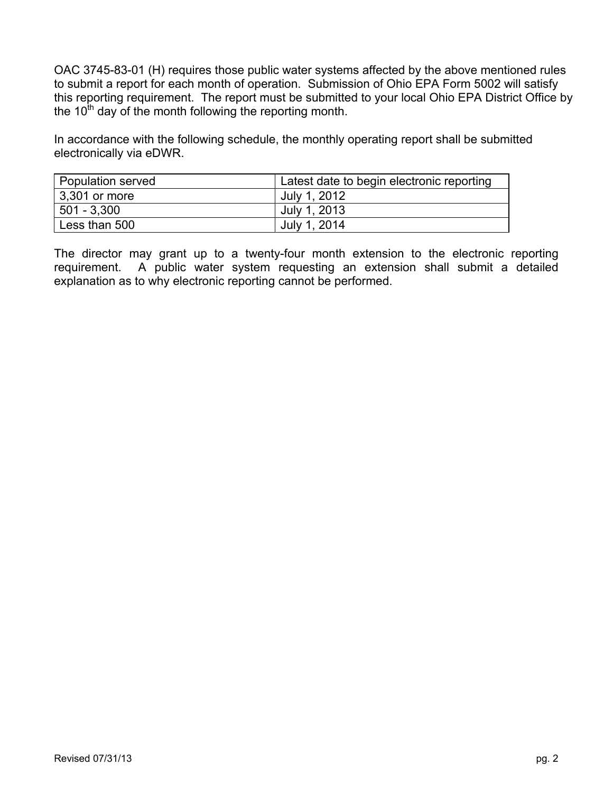OAC 3745-83-01 (H) requires those public water systems affected by the above mentioned rules to submit a report for each month of operation. Submission of Ohio EPA Form 5002 will satisfy this reporting requirement. The report must be submitted to your local Ohio EPA District Office by the  $10<sup>th</sup>$  day of the month following the reporting month.

In accordance with the following schedule, the monthly operating report shall be submitted electronically via eDWR.

| <b>Population served</b> | Latest date to begin electronic reporting |
|--------------------------|-------------------------------------------|
| 3,301 or more            | July 1, 2012                              |
| 501 - 3,300              | July 1, 2013                              |
| Less than 500            | July 1, 2014                              |

The director may grant up to a twenty-four month extension to the electronic reporting requirement. A public water system requesting an extension shall submit a detailed explanation as to why electronic reporting cannot be performed.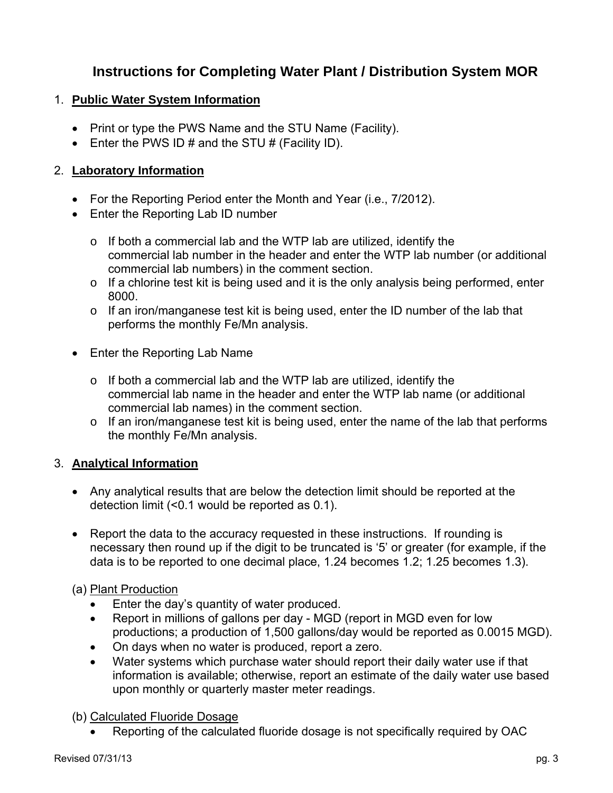# **Instructions for Completing Water Plant / Distribution System MOR**

### 1. **Public Water System Information**

- Print or type the PWS Name and the STU Name (Facility).
- $\bullet$  Enter the PWS ID # and the STU # (Facility ID).

# 2. **Laboratory Information**

- For the Reporting Period enter the Month and Year (i.e., 7/2012).
- Enter the Reporting Lab ID number
	- $\circ$  If both a commercial lab and the WTP lab are utilized, identify the commercial lab number in the header and enter the WTP lab number (or additional commercial lab numbers) in the comment section.
	- o If a chlorine test kit is being used and it is the only analysis being performed, enter 8000.
	- o If an iron/manganese test kit is being used, enter the ID number of the lab that performs the monthly Fe/Mn analysis.
- Enter the Reporting Lab Name
	- o If both a commercial lab and the WTP lab are utilized, identify the commercial lab name in the header and enter the WTP lab name (or additional commercial lab names) in the comment section.
	- o If an iron/manganese test kit is being used, enter the name of the lab that performs the monthly Fe/Mn analysis.

# 3. **Analytical Information**

- Any analytical results that are below the detection limit should be reported at the detection limit (<0.1 would be reported as 0.1).
- Report the data to the accuracy requested in these instructions. If rounding is necessary then round up if the digit to be truncated is '5' or greater (for example, if the data is to be reported to one decimal place, 1.24 becomes 1.2; 1.25 becomes 1.3).

# (a) Plant Production

- Enter the day's quantity of water produced.
- Report in millions of gallons per day MGD (report in MGD even for low productions; a production of 1,500 gallons/day would be reported as 0.0015 MGD).
- On days when no water is produced, report a zero.
- Water systems which purchase water should report their daily water use if that information is available; otherwise, report an estimate of the daily water use based upon monthly or quarterly master meter readings.

# (b) Calculated Fluoride Dosage

Reporting of the calculated fluoride dosage is not specifically required by OAC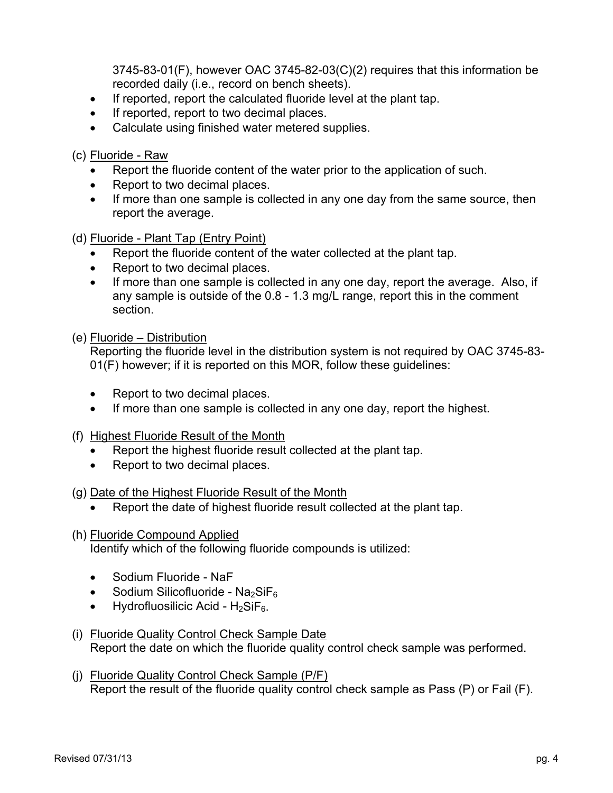3745-83-01(F), however OAC 3745-82-03(C)(2) requires that this information be recorded daily (i.e., record on bench sheets).

- If reported, report the calculated fluoride level at the plant tap.
- If reported, report to two decimal places.
- Calculate using finished water metered supplies.

(c) Fluoride - Raw

- Report the fluoride content of the water prior to the application of such.
- Report to two decimal places.
- If more than one sample is collected in any one day from the same source, then report the average.

(d) Fluoride - Plant Tap (Entry Point)

- Report the fluoride content of the water collected at the plant tap.
- Report to two decimal places.
- If more than one sample is collected in any one day, report the average. Also, if any sample is outside of the 0.8 - 1.3 mg/L range, report this in the comment section.

(e) Fluoride – Distribution

Reporting the fluoride level in the distribution system is not required by OAC 3745-83- 01(F) however; if it is reported on this MOR, follow these guidelines:

- Report to two decimal places.
- If more than one sample is collected in any one day, report the highest.
- (f) Highest Fluoride Result of the Month
	- Report the highest fluoride result collected at the plant tap.
	- Report to two decimal places.

(g) Date of the Highest Fluoride Result of the Month

- Report the date of highest fluoride result collected at the plant tap.
- (h) Fluoride Compound Applied

Identify which of the following fluoride compounds is utilized:

- Sodium Fluoride NaF
- Sodium Silicofluoride Na<sub>2</sub>SiF<sub>6</sub>
- Hydrofluosilicic Acid  $H_2$ SiF<sub>6</sub>.
- (i) Fluoride Quality Control Check Sample Date Report the date on which the fluoride quality control check sample was performed.
- (j) Fluoride Quality Control Check Sample (P/F) Report the result of the fluoride quality control check sample as Pass (P) or Fail (F).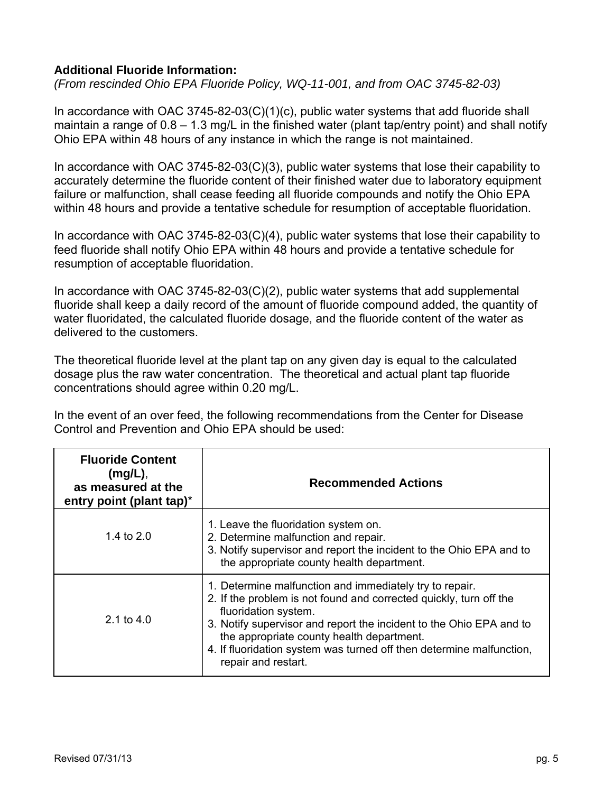### **Additional Fluoride Information:**

*(From rescinded Ohio EPA Fluoride Policy, WQ-11-001, and from OAC 3745-82-03)*

In accordance with OAC 3745-82-03(C)(1)(c), public water systems that add fluoride shall maintain a range of 0.8 – 1.3 mg/L in the finished water (plant tap/entry point) and shall notify Ohio EPA within 48 hours of any instance in which the range is not maintained.

In accordance with OAC 3745-82-03(C)(3), public water systems that lose their capability to accurately determine the fluoride content of their finished water due to laboratory equipment failure or malfunction, shall cease feeding all fluoride compounds and notify the Ohio EPA within 48 hours and provide a tentative schedule for resumption of acceptable fluoridation.

In accordance with OAC 3745-82-03(C)(4), public water systems that lose their capability to feed fluoride shall notify Ohio EPA within 48 hours and provide a tentative schedule for resumption of acceptable fluoridation.

In accordance with OAC 3745-82-03(C)(2), public water systems that add supplemental fluoride shall keep a daily record of the amount of fluoride compound added, the quantity of water fluoridated, the calculated fluoride dosage, and the fluoride content of the water as delivered to the customers.

The theoretical fluoride level at the plant tap on any given day is equal to the calculated dosage plus the raw water concentration. The theoretical and actual plant tap fluoride concentrations should agree within 0.20 mg/L.

In the event of an over feed, the following recommendations from the Center for Disease Control and Prevention and Ohio EPA should be used:

| <b>Fluoride Content</b><br>$(mg/L)$ ,<br>as measured at the<br>entry point (plant tap)* | <b>Recommended Actions</b>                                                                                                                                                                                                                                                                                                                                               |
|-----------------------------------------------------------------------------------------|--------------------------------------------------------------------------------------------------------------------------------------------------------------------------------------------------------------------------------------------------------------------------------------------------------------------------------------------------------------------------|
| 1.4 to 2.0                                                                              | 1. Leave the fluoridation system on.<br>2. Determine malfunction and repair.<br>3. Notify supervisor and report the incident to the Ohio EPA and to<br>the appropriate county health department.                                                                                                                                                                         |
| 2.1 to 4.0                                                                              | 1. Determine malfunction and immediately try to repair.<br>2. If the problem is not found and corrected quickly, turn off the<br>fluoridation system.<br>3. Notify supervisor and report the incident to the Ohio EPA and to<br>the appropriate county health department.<br>4. If fluoridation system was turned off then determine malfunction,<br>repair and restart. |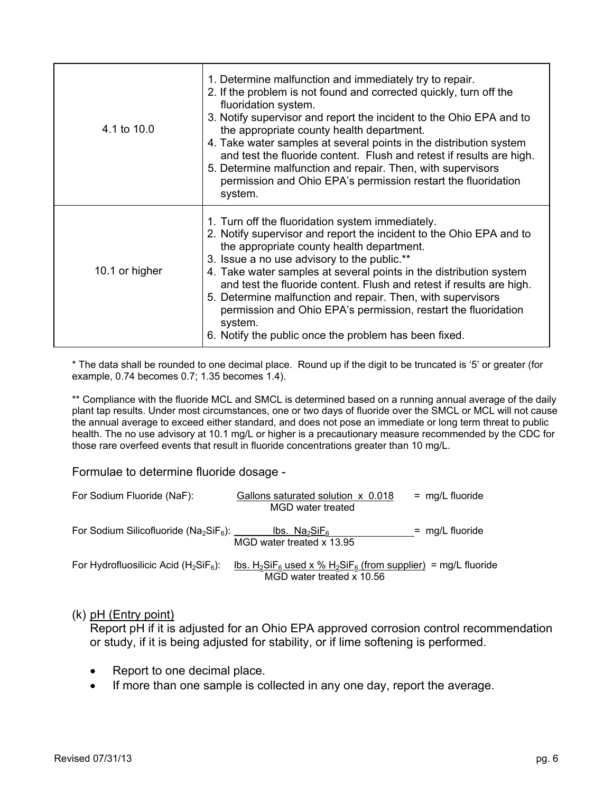| 4.1 to 10.0    | 1. Determine malfunction and immediately try to repair.<br>2. If the problem is not found and corrected quickly, turn off the<br>fluoridation system.<br>3. Notify supervisor and report the incident to the Ohio EPA and to<br>the appropriate county health department.<br>4. Take water samples at several points in the distribution system<br>and test the fluoride content. Flush and retest if results are high.<br>5. Determine malfunction and repair. Then, with supervisors<br>permission and Ohio EPA's permission restart the fluoridation<br>system.     |
|----------------|------------------------------------------------------------------------------------------------------------------------------------------------------------------------------------------------------------------------------------------------------------------------------------------------------------------------------------------------------------------------------------------------------------------------------------------------------------------------------------------------------------------------------------------------------------------------|
| 10.1 or higher | 1. Turn off the fluoridation system immediately.<br>2. Notify supervisor and report the incident to the Ohio EPA and to<br>the appropriate county health department.<br>3. Issue a no use advisory to the public.**<br>4. Take water samples at several points in the distribution system<br>and test the fluoride content. Flush and retest if results are high.<br>5. Determine malfunction and repair. Then, with supervisors<br>permission and Ohio EPA's permission, restart the fluoridation<br>system.<br>6. Notify the public once the problem has been fixed. |

\* The data shall be rounded to one decimal place. Round up if the digit to be truncated is '5' or greater (for example, 0.74 becomes 0.7; 1.35 becomes 1.4).

\*\* Compliance with the fluoride MCL and SMCL is determined based on a running annual average of the daily plant tap results. Under most circumstances, one or two days of fluoride over the SMCL or MCL will not cause the annual average to exceed either standard, and does not pose an immediate or long term threat to public health. The no use advisory at 10.1 mg/L or higher is a precautionary measure recommended by the CDC for those rare overfeed events that result in fluoride concentrations greater than 10 mg/L.

Formulae to determine fluoride dosage -

| For Sodium Fluoride (NaF):                                        | Gallons saturated solution x 0.018<br>MGD water treated                                                                                     | $=$ mg/L fluoride |
|-------------------------------------------------------------------|---------------------------------------------------------------------------------------------------------------------------------------------|-------------------|
| For Sodium Silicofluoride ( $Na2SiF6$ ): _________ Ibs. $Na2SiF6$ | MGD water treated x 13.95                                                                                                                   | $=$ mg/L fluoride |
| For Hydrofluosilicic Acid ( $H_2SiF_6$ ):                         | <u>lbs. H<sub>2</sub>SiF<sub>6</sub> used x % H<sub>2</sub>SiF<sub>6</sub> (from supplier) = mg/L fluoride</u><br>MGD water treated x 10.56 |                   |

#### (k) pH (Entry point)

Report pH if it is adjusted for an Ohio EPA approved corrosion control recommendation or study, if it is being adjusted for stability, or if lime softening is performed.

- Report to one decimal place.
- If more than one sample is collected in any one day, report the average.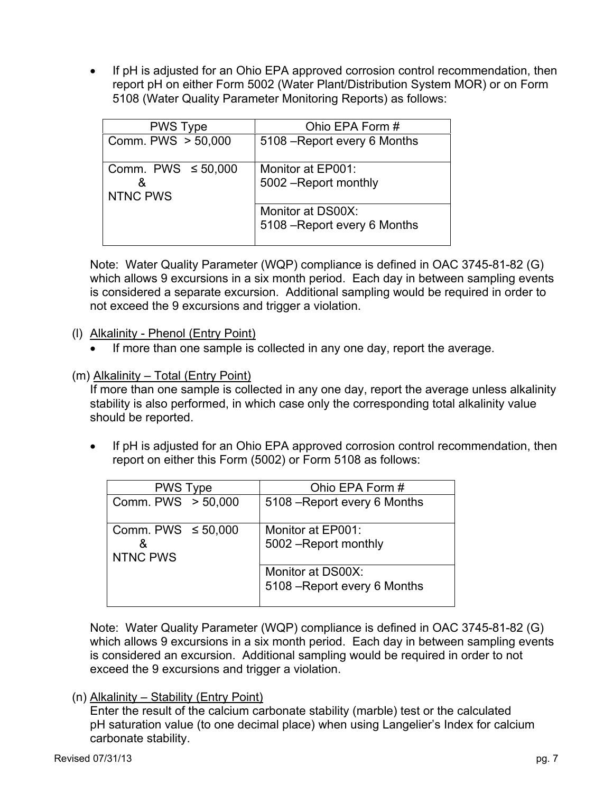If pH is adjusted for an Ohio EPA approved corrosion control recommendation, then report pH on either Form 5002 (Water Plant/Distribution System MOR) or on Form 5108 (Water Quality Parameter Monitoring Reports) as follows:

| <b>PWS Type</b>                                 | Ohio EPA Form #                                   |
|-------------------------------------------------|---------------------------------------------------|
| Comm. PWS > 50,000                              | 5108 – Report every 6 Months                      |
| Comm. PWS $\leq 50,000$<br>ጼ<br><b>NTNC PWS</b> | Monitor at EP001:<br>5002 - Report monthly        |
|                                                 | Monitor at DS00X:<br>5108 - Report every 6 Months |

Note: Water Quality Parameter (WQP) compliance is defined in OAC 3745-81-82 (G) which allows 9 excursions in a six month period. Each day in between sampling events is considered a separate excursion. Additional sampling would be required in order to not exceed the 9 excursions and trigger a violation.

### (l) Alkalinity - Phenol (Entry Point)

• If more than one sample is collected in any one day, report the average.

(m) Alkalinity – Total (Entry Point)

If more than one sample is collected in any one day, report the average unless alkalinity stability is also performed, in which case only the corresponding total alkalinity value should be reported.

 If pH is adjusted for an Ohio EPA approved corrosion control recommendation, then report on either this Form (5002) or Form 5108 as follows:

| <b>PWS Type</b>                                 | Ohio EPA Form #                                   |  |  |  |  |  |  |  |  |
|-------------------------------------------------|---------------------------------------------------|--|--|--|--|--|--|--|--|
| Comm. PWS > 50,000                              | 5108 – Report every 6 Months                      |  |  |  |  |  |  |  |  |
| Comm. PWS $\leq 50,000$<br>8<br><b>NTNC PWS</b> | Monitor at EP001:<br>5002 - Report monthly        |  |  |  |  |  |  |  |  |
|                                                 | Monitor at DS00X:<br>5108 - Report every 6 Months |  |  |  |  |  |  |  |  |

Note: Water Quality Parameter (WQP) compliance is defined in OAC 3745-81-82 (G) which allows 9 excursions in a six month period. Each day in between sampling events is considered an excursion. Additional sampling would be required in order to not exceed the 9 excursions and trigger a violation.

#### (n) Alkalinity – Stability (Entry Point)

 Enter the result of the calcium carbonate stability (marble) test or the calculated pH saturation value (to one decimal place) when using Langelier's Index for calcium carbonate stability.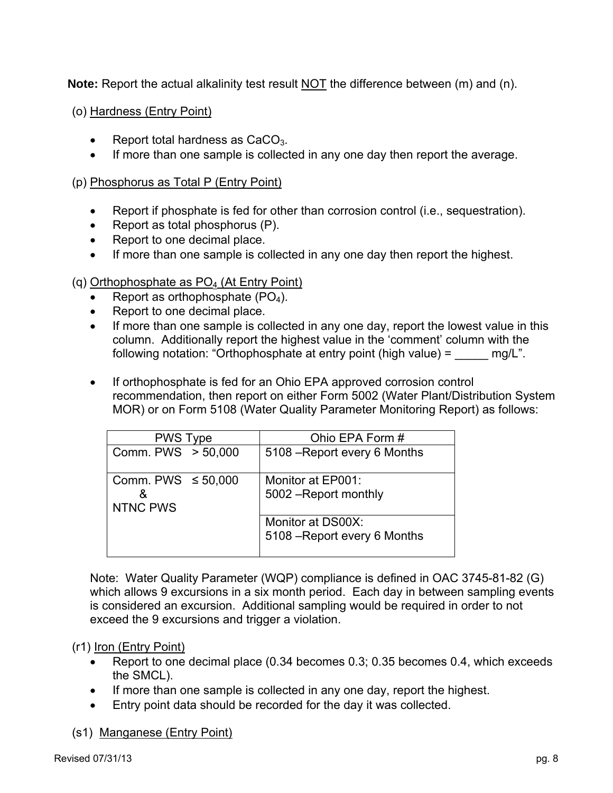**Note:** Report the actual alkalinity test result NOT the difference between (m) and (n).

(o) Hardness (Entry Point)

- Report total hardness as CaCO<sub>3</sub>.
- If more than one sample is collected in any one day then report the average.

### (p) Phosphorus as Total P (Entry Point)

- Report if phosphate is fed for other than corrosion control (i.e., sequestration).
- Report as total phosphorus  $(P)$ .
- Report to one decimal place.
- If more than one sample is collected in any one day then report the highest.

### (q) Orthophosphate as  $PO<sub>4</sub>$  (At Entry Point)

- Report as orthophosphate  $(PO<sub>4</sub>)$ .
- Report to one decimal place.
- If more than one sample is collected in any one day, report the lowest value in this column. Additionally report the highest value in the 'comment' column with the following notation: "Orthophosphate at entry point (high value) =  $\frac{mg}{L}$ ".
- If orthophosphate is fed for an Ohio EPA approved corrosion control recommendation, then report on either Form 5002 (Water Plant/Distribution System MOR) or on Form 5108 (Water Quality Parameter Monitoring Report) as follows:

| <b>PWS Type</b>         | Ohio EPA Form #                            |  |  |  |  |  |  |  |  |
|-------------------------|--------------------------------------------|--|--|--|--|--|--|--|--|
| Comm. PWS > 50,000      | 5108 – Report every 6 Months               |  |  |  |  |  |  |  |  |
| Comm. PWS $\leq 50,000$ | Monitor at EP001:<br>5002 - Report monthly |  |  |  |  |  |  |  |  |
| NTNC PWS                |                                            |  |  |  |  |  |  |  |  |
|                         | Monitor at DS00X:                          |  |  |  |  |  |  |  |  |
|                         | 5108 - Report every 6 Months               |  |  |  |  |  |  |  |  |

Note: Water Quality Parameter (WQP) compliance is defined in OAC 3745-81-82 (G) which allows 9 excursions in a six month period. Each day in between sampling events is considered an excursion. Additional sampling would be required in order to not exceed the 9 excursions and trigger a violation.

#### (r1) Iron (Entry Point)

- Report to one decimal place (0.34 becomes 0.3; 0.35 becomes 0.4, which exceeds the SMCL).
- If more than one sample is collected in any one day, report the highest.
- Entry point data should be recorded for the day it was collected.

#### (s1) Manganese (Entry Point)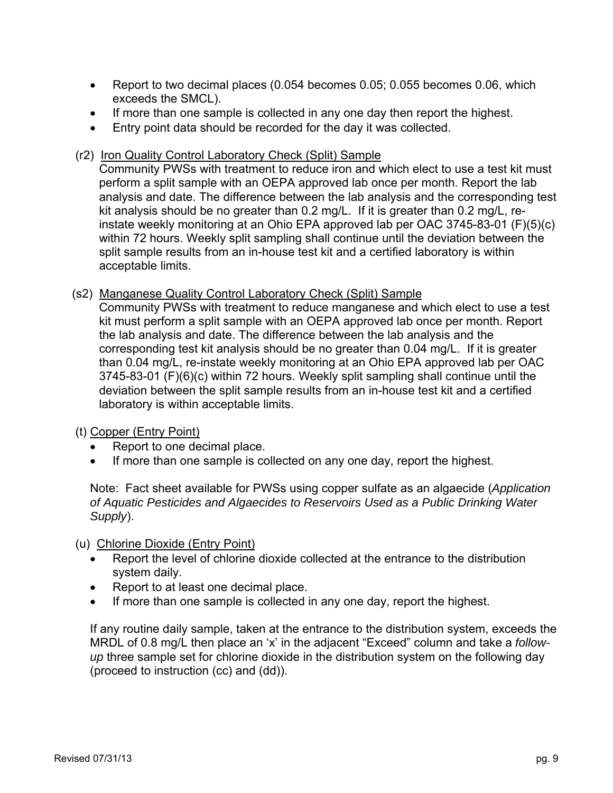- Report to two decimal places (0.054 becomes 0.05; 0.055 becomes 0.06, which exceeds the SMCL).
- If more than one sample is collected in any one day then report the highest.
- Entry point data should be recorded for the day it was collected.

# (r2) Iron Quality Control Laboratory Check (Split) Sample

Community PWSs with treatment to reduce iron and which elect to use a test kit must perform a split sample with an OEPA approved lab once per month. Report the lab analysis and date. The difference between the lab analysis and the corresponding test kit analysis should be no greater than 0.2 mg/L. If it is greater than 0.2 mg/L, reinstate weekly monitoring at an Ohio EPA approved lab per OAC 3745-83-01 (F)(5)(c) within 72 hours. Weekly split sampling shall continue until the deviation between the split sample results from an in-house test kit and a certified laboratory is within acceptable limits.

# (s2) Manganese Quality Control Laboratory Check (Split) Sample

Community PWSs with treatment to reduce manganese and which elect to use a test kit must perform a split sample with an OEPA approved lab once per month. Report the lab analysis and date. The difference between the lab analysis and the corresponding test kit analysis should be no greater than 0.04 mg/L. If it is greater than 0.04 mg/L, re-instate weekly monitoring at an Ohio EPA approved lab per OAC 3745-83-01 (F)(6)(c) within 72 hours. Weekly split sampling shall continue until the deviation between the split sample results from an in-house test kit and a certified laboratory is within acceptable limits.

# (t) Copper (Entry Point)

- Report to one decimal place.
- If more than one sample is collected on any one day, report the highest.

Note: Fact sheet available for PWSs using copper sulfate as an algaecide (*Application of Aquatic Pesticides and Algaecides to Reservoirs Used as a Public Drinking Water Supply*).

# (u) Chlorine Dioxide (Entry Point)

- Report the level of chlorine dioxide collected at the entrance to the distribution system daily.
- Report to at least one decimal place.
- If more than one sample is collected in any one day, report the highest.

If any routine daily sample, taken at the entrance to the distribution system, exceeds the MRDL of 0.8 mg/L then place an 'x' in the adjacent "Exceed" column and take a *followup* three sample set for chlorine dioxide in the distribution system on the following day (proceed to instruction (cc) and (dd)).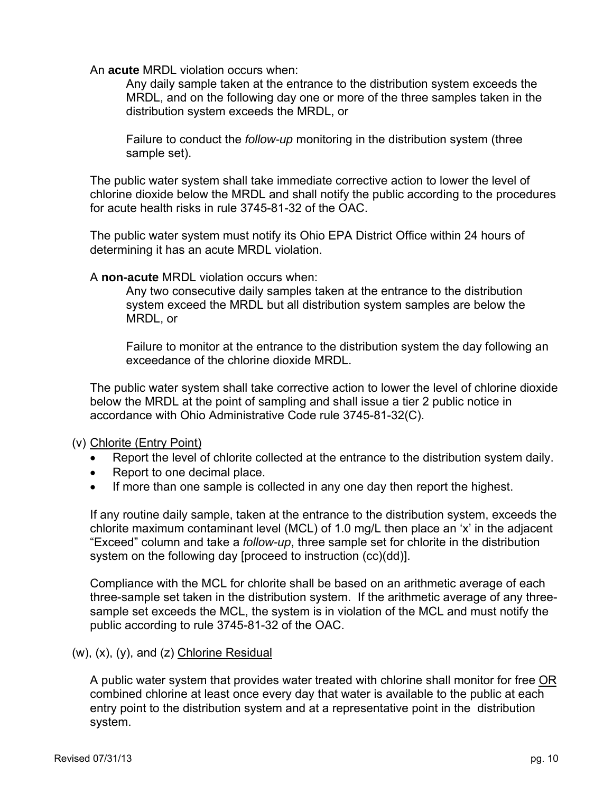An **acute** MRDL violation occurs when:

Any daily sample taken at the entrance to the distribution system exceeds the MRDL, and on the following day one or more of the three samples taken in the distribution system exceeds the MRDL, or

Failure to conduct the *follow-up* monitoring in the distribution system (three sample set).

The public water system shall take immediate corrective action to lower the level of chlorine dioxide below the MRDL and shall notify the public according to the procedures for acute health risks in rule 3745-81-32 of the OAC.

The public water system must notify its Ohio EPA District Office within 24 hours of determining it has an acute MRDL violation.

A **non-acute** MRDL violation occurs when:

Any two consecutive daily samples taken at the entrance to the distribution system exceed the MRDL but all distribution system samples are below the MRDL, or

Failure to monitor at the entrance to the distribution system the day following an exceedance of the chlorine dioxide MRDL.

The public water system shall take corrective action to lower the level of chlorine dioxide below the MRDL at the point of sampling and shall issue a tier 2 public notice in accordance with Ohio Administrative Code rule 3745-81-32(C).

(v) Chlorite (Entry Point)

- Report the level of chlorite collected at the entrance to the distribution system daily.
- Report to one decimal place.
- If more than one sample is collected in any one day then report the highest.

If any routine daily sample, taken at the entrance to the distribution system, exceeds the chlorite maximum contaminant level (MCL) of 1.0 mg/L then place an 'x' in the adjacent "Exceed" column and take a *follow-up*, three sample set for chlorite in the distribution system on the following day [proceed to instruction (cc)(dd)].

Compliance with the MCL for chlorite shall be based on an arithmetic average of each three-sample set taken in the distribution system. If the arithmetic average of any threesample set exceeds the MCL, the system is in violation of the MCL and must notify the public according to rule 3745-81-32 of the OAC.

(w), (x), (y), and (z) Chlorine Residual

A public water system that provides water treated with chlorine shall monitor for free OR combined chlorine at least once every day that water is available to the public at each entry point to the distribution system and at a representative point in the distribution system.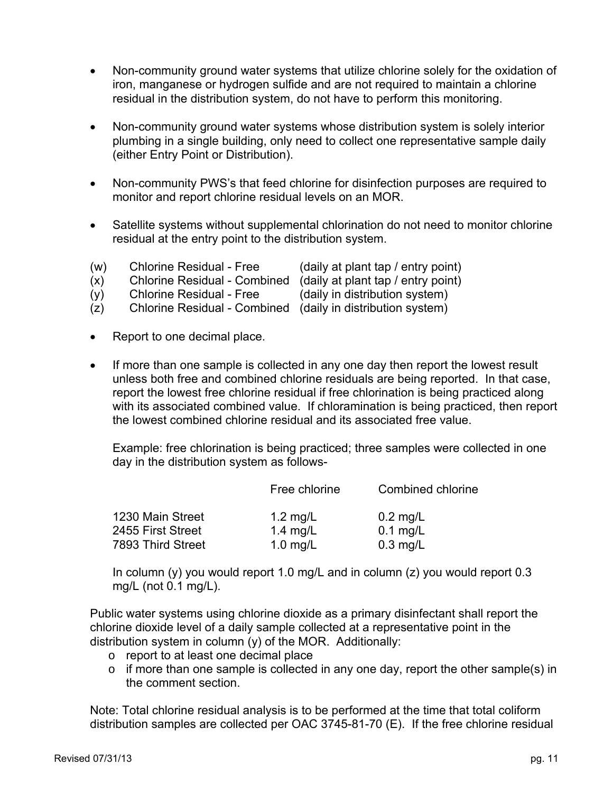- Non-community ground water systems that utilize chlorine solely for the oxidation of iron, manganese or hydrogen sulfide and are not required to maintain a chlorine residual in the distribution system, do not have to perform this monitoring.
- Non-community ground water systems whose distribution system is solely interior plumbing in a single building, only need to collect one representative sample daily (either Entry Point or Distribution).
- Non-community PWS's that feed chlorine for disinfection purposes are required to monitor and report chlorine residual levels on an MOR.
- Satellite systems without supplemental chlorination do not need to monitor chlorine residual at the entry point to the distribution system.
- (w) Chlorine Residual Free (daily at plant tap / entry point)
- $(x)$  Chlorine Residual Combined (daily at plant tap / entry point)<br>(y) Chlorine Residual Free (daily in distribution system)
- (y) Chlorine Residual Free (daily in distribution system)

- (z) Chlorine Residual Combined (daily in distribution system)
- Report to one decimal place.
- If more than one sample is collected in any one day then report the lowest result unless both free and combined chlorine residuals are being reported. In that case, report the lowest free chlorine residual if free chlorination is being practiced along with its associated combined value. If chloramination is being practiced, then report the lowest combined chlorine residual and its associated free value.

Example: free chlorination is being practiced; three samples were collected in one day in the distribution system as follows-

|                   | Free chlorine | Combined chlorine |  |  |  |  |
|-------------------|---------------|-------------------|--|--|--|--|
| 1230 Main Street  | 1.2 $mg/L$    | $0.2$ mg/L        |  |  |  |  |
| 2455 First Street | 1.4 $mg/L$    | $0.1$ mg/L        |  |  |  |  |
| 7893 Third Street | $1.0$ mg/L    | $0.3$ mg/L        |  |  |  |  |

In column (y) you would report 1.0 mg/L and in column (z) you would report 0.3 mg/L (not 0.1 mg/L).

Public water systems using chlorine dioxide as a primary disinfectant shall report the chlorine dioxide level of a daily sample collected at a representative point in the distribution system in column (y) of the MOR. Additionally:

- o report to at least one decimal place
- o if more than one sample is collected in any one day, report the other sample(s) in the comment section.

Note: Total chlorine residual analysis is to be performed at the time that total coliform distribution samples are collected per OAC 3745-81-70 (E). If the free chlorine residual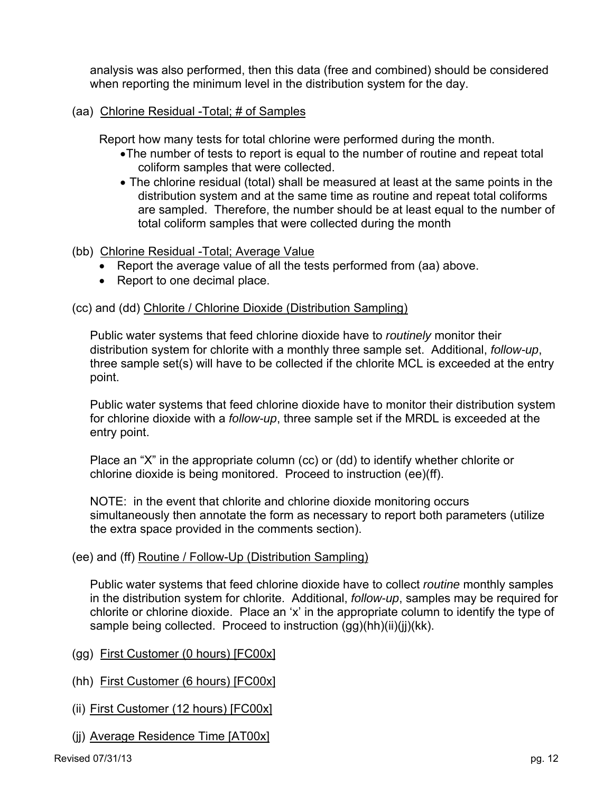analysis was also performed, then this data (free and combined) should be considered when reporting the minimum level in the distribution system for the day.

### (aa) Chlorine Residual -Total; # of Samples

Report how many tests for total chlorine were performed during the month.

- The number of tests to report is equal to the number of routine and repeat total coliform samples that were collected.
- The chlorine residual (total) shall be measured at least at the same points in the distribution system and at the same time as routine and repeat total coliforms are sampled. Therefore, the number should be at least equal to the number of total coliform samples that were collected during the month

### (bb) Chlorine Residual -Total; Average Value

- Report the average value of all the tests performed from (aa) above.
- Report to one decimal place.

#### (cc) and (dd) Chlorite / Chlorine Dioxide (Distribution Sampling)

 Public water systems that feed chlorine dioxide have to *routinely* monitor their distribution system for chlorite with a monthly three sample set. Additional, *follow-up*, three sample set(s) will have to be collected if the chlorite MCL is exceeded at the entry point.

Public water systems that feed chlorine dioxide have to monitor their distribution system for chlorine dioxide with a *follow-up*, three sample set if the MRDL is exceeded at the entry point.

Place an "X" in the appropriate column (cc) or (dd) to identify whether chlorite or chlorine dioxide is being monitored. Proceed to instruction (ee)(ff).

NOTE: in the event that chlorite and chlorine dioxide monitoring occurs simultaneously then annotate the form as necessary to report both parameters (utilize the extra space provided in the comments section).

#### (ee) and (ff) Routine / Follow-Up (Distribution Sampling)

Public water systems that feed chlorine dioxide have to collect *routine* monthly samples in the distribution system for chlorite. Additional, *follow-up*, samples may be required for chlorite or chlorine dioxide. Place an 'x' in the appropriate column to identify the type of sample being collected. Proceed to instruction (gg)(hh)(ii)(ii)(kk).

- (gg) First Customer (0 hours) [FC00x]
- (hh) First Customer (6 hours) [FC00x]
- (ii) First Customer (12 hours) [FC00x]
- (jj) Average Residence Time [AT00x]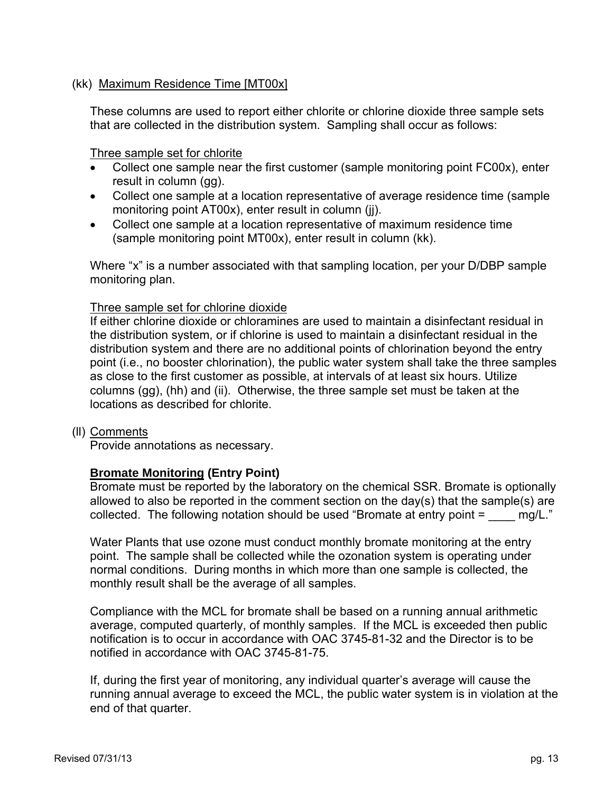#### (kk) Maximum Residence Time [MT00x]

These columns are used to report either chlorite or chlorine dioxide three sample sets that are collected in the distribution system. Sampling shall occur as follows:

Three sample set for chlorite

- Collect one sample near the first customer (sample monitoring point FC00x), enter result in column (gg).
- Collect one sample at a location representative of average residence time (sample monitoring point AT00x), enter result in column (ii).
- Collect one sample at a location representative of maximum residence time (sample monitoring point MT00x), enter result in column (kk).

Where "x" is a number associated with that sampling location, per your D/DBP sample monitoring plan.

#### Three sample set for chlorine dioxide

If either chlorine dioxide or chloramines are used to maintain a disinfectant residual in the distribution system, or if chlorine is used to maintain a disinfectant residual in the distribution system and there are no additional points of chlorination beyond the entry point (i.e., no booster chlorination), the public water system shall take the three samples as close to the first customer as possible, at intervals of at least six hours. Utilize columns (gg), (hh) and (ii). Otherwise, the three sample set must be taken at the locations as described for chlorite.

#### (ll) Comments

Provide annotations as necessary.

#### **Bromate Monitoring (Entry Point)**

Bromate must be reported by the laboratory on the chemical SSR. Bromate is optionally allowed to also be reported in the comment section on the day(s) that the sample(s) are collected. The following notation should be used "Bromate at entry point  $=$   $mg/L$ ."

Water Plants that use ozone must conduct monthly bromate monitoring at the entry point. The sample shall be collected while the ozonation system is operating under normal conditions. During months in which more than one sample is collected, the monthly result shall be the average of all samples.

Compliance with the MCL for bromate shall be based on a running annual arithmetic average, computed quarterly, of monthly samples. If the MCL is exceeded then public notification is to occur in accordance with OAC 3745-81-32 and the Director is to be notified in accordance with OAC 3745-81-75.

If, during the first year of monitoring, any individual quarter's average will cause the running annual average to exceed the MCL, the public water system is in violation at the end of that quarter.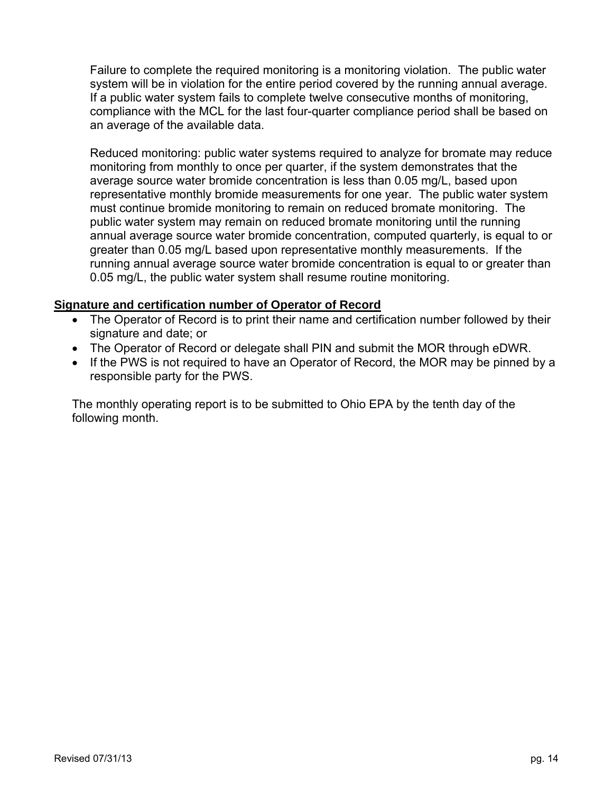Failure to complete the required monitoring is a monitoring violation. The public water system will be in violation for the entire period covered by the running annual average. If a public water system fails to complete twelve consecutive months of monitoring, compliance with the MCL for the last four-quarter compliance period shall be based on an average of the available data.

Reduced monitoring: public water systems required to analyze for bromate may reduce monitoring from monthly to once per quarter, if the system demonstrates that the average source water bromide concentration is less than 0.05 mg/L, based upon representative monthly bromide measurements for one year. The public water system must continue bromide monitoring to remain on reduced bromate monitoring. The public water system may remain on reduced bromate monitoring until the running annual average source water bromide concentration, computed quarterly, is equal to or greater than 0.05 mg/L based upon representative monthly measurements. If the running annual average source water bromide concentration is equal to or greater than 0.05 mg/L, the public water system shall resume routine monitoring.

### **Signature and certification number of Operator of Record**

- The Operator of Record is to print their name and certification number followed by their signature and date; or
- The Operator of Record or delegate shall PIN and submit the MOR through eDWR.
- If the PWS is not required to have an Operator of Record, the MOR may be pinned by a responsible party for the PWS.

The monthly operating report is to be submitted to Ohio EPA by the tenth day of the following month.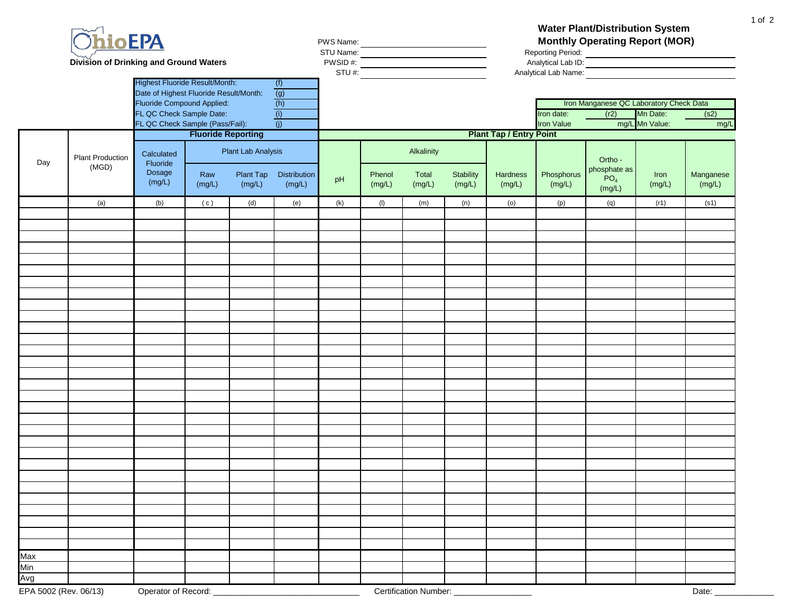|     | <b>OhioEPA</b><br><b>Division of Drinking and Ground Waters</b> | <b>Highest Fluoride Result/Month:</b><br>Date of Highest Fluoride Result/Month:<br>Fluoride Compound Applied:<br>FL QC Check Sample Date: |                           |                                                  | (f)<br>(g)<br>(h)<br>(i) | PWS Name: | PWS Name:<br>STU Name:<br>PWSID #:<br>NTU #:<br>STU #: |                               |                     | <b>Water Plant/Distribution System</b><br><b>Monthly Operating Report (MOR)</b><br>Reporting Period:<br>Analytical Lab ID:<br>Analytical Lab Name:<br>Iron Manganese QC Laboratory Check Data<br>Mn Date:<br>(r2)<br>Iron date:<br>(s2) |                      |                                                      |                |                     |  |  |  |  |  |
|-----|-----------------------------------------------------------------|-------------------------------------------------------------------------------------------------------------------------------------------|---------------------------|--------------------------------------------------|--------------------------|-----------|--------------------------------------------------------|-------------------------------|---------------------|-----------------------------------------------------------------------------------------------------------------------------------------------------------------------------------------------------------------------------------------|----------------------|------------------------------------------------------|----------------|---------------------|--|--|--|--|--|
|     |                                                                 | FL QC Check Sample (Pass/Fail):                                                                                                           | <b>Fluoride Reporting</b> |                                                  | (j)                      |           |                                                        |                               |                     |                                                                                                                                                                                                                                         | <b>Iron Value</b>    |                                                      | mg/L Mn Value: | mg/L                |  |  |  |  |  |
|     |                                                                 |                                                                                                                                           |                           |                                                  |                          |           | <b>Plant Tap / Entry Point</b>                         |                               |                     |                                                                                                                                                                                                                                         |                      |                                                      |                |                     |  |  |  |  |  |
| Day | <b>Plant Production</b><br>(MGD)                                | Calculated<br>Fluoride<br>Dosage<br>(mg/L)                                                                                                | Raw<br>(mg/L)             | <b>Plant Lab Analysis</b><br>Plant Tap<br>(mg/L) | Distribution<br>(mg/L)   | pH        | Phenol<br>(mg/L)                                       | Alkalinity<br>Total<br>(mg/L) | Stability<br>(mg/L) | Hardness<br>(mg/L)                                                                                                                                                                                                                      | Phosphorus<br>(mg/L) | Ortho -<br>phosphate as<br>PO <sub>4</sub><br>(mg/L) | Iron<br>(mg/L) | Manganese<br>(mg/L) |  |  |  |  |  |
|     | (a)                                                             | (b)                                                                                                                                       | (c)                       | (d)                                              | (e)                      | (k)       | (1)                                                    | (m)                           | (n)                 | (0)                                                                                                                                                                                                                                     | (p)                  | (q)                                                  | (r1)           | (s1)                |  |  |  |  |  |
|     |                                                                 |                                                                                                                                           |                           |                                                  |                          |           |                                                        |                               |                     |                                                                                                                                                                                                                                         |                      |                                                      |                |                     |  |  |  |  |  |
|     |                                                                 |                                                                                                                                           |                           |                                                  |                          |           |                                                        |                               |                     |                                                                                                                                                                                                                                         |                      |                                                      |                |                     |  |  |  |  |  |
|     |                                                                 |                                                                                                                                           |                           |                                                  |                          |           |                                                        |                               |                     |                                                                                                                                                                                                                                         |                      |                                                      |                |                     |  |  |  |  |  |
|     |                                                                 |                                                                                                                                           |                           |                                                  |                          |           |                                                        |                               |                     |                                                                                                                                                                                                                                         |                      |                                                      |                |                     |  |  |  |  |  |
|     |                                                                 |                                                                                                                                           |                           |                                                  |                          |           |                                                        |                               |                     |                                                                                                                                                                                                                                         |                      |                                                      |                |                     |  |  |  |  |  |
|     |                                                                 |                                                                                                                                           |                           |                                                  |                          |           |                                                        |                               |                     |                                                                                                                                                                                                                                         |                      |                                                      |                |                     |  |  |  |  |  |
|     |                                                                 |                                                                                                                                           |                           |                                                  |                          |           |                                                        |                               |                     |                                                                                                                                                                                                                                         |                      |                                                      |                |                     |  |  |  |  |  |
|     |                                                                 |                                                                                                                                           |                           |                                                  |                          |           |                                                        |                               |                     |                                                                                                                                                                                                                                         |                      |                                                      |                |                     |  |  |  |  |  |
|     |                                                                 |                                                                                                                                           |                           |                                                  |                          |           |                                                        |                               |                     |                                                                                                                                                                                                                                         |                      |                                                      |                |                     |  |  |  |  |  |
|     |                                                                 |                                                                                                                                           |                           |                                                  |                          |           |                                                        |                               |                     |                                                                                                                                                                                                                                         |                      |                                                      |                |                     |  |  |  |  |  |
|     |                                                                 |                                                                                                                                           |                           |                                                  |                          |           |                                                        |                               |                     |                                                                                                                                                                                                                                         |                      |                                                      |                |                     |  |  |  |  |  |
|     |                                                                 |                                                                                                                                           |                           |                                                  |                          |           |                                                        |                               |                     |                                                                                                                                                                                                                                         |                      |                                                      |                |                     |  |  |  |  |  |
|     |                                                                 |                                                                                                                                           |                           |                                                  |                          |           |                                                        |                               |                     |                                                                                                                                                                                                                                         |                      |                                                      |                |                     |  |  |  |  |  |
|     |                                                                 |                                                                                                                                           |                           |                                                  |                          |           |                                                        |                               |                     |                                                                                                                                                                                                                                         |                      |                                                      |                |                     |  |  |  |  |  |
|     |                                                                 |                                                                                                                                           |                           |                                                  |                          |           |                                                        |                               |                     |                                                                                                                                                                                                                                         |                      |                                                      |                |                     |  |  |  |  |  |
|     |                                                                 |                                                                                                                                           |                           |                                                  |                          |           |                                                        |                               |                     |                                                                                                                                                                                                                                         |                      |                                                      |                |                     |  |  |  |  |  |
|     |                                                                 |                                                                                                                                           |                           |                                                  |                          |           |                                                        |                               |                     |                                                                                                                                                                                                                                         |                      |                                                      |                |                     |  |  |  |  |  |
|     |                                                                 |                                                                                                                                           |                           |                                                  |                          |           |                                                        |                               |                     |                                                                                                                                                                                                                                         |                      |                                                      |                |                     |  |  |  |  |  |
|     |                                                                 |                                                                                                                                           |                           |                                                  |                          |           |                                                        |                               |                     |                                                                                                                                                                                                                                         |                      |                                                      |                |                     |  |  |  |  |  |
|     |                                                                 |                                                                                                                                           |                           |                                                  |                          |           |                                                        |                               |                     |                                                                                                                                                                                                                                         |                      |                                                      |                |                     |  |  |  |  |  |
|     |                                                                 |                                                                                                                                           |                           |                                                  |                          |           |                                                        |                               |                     |                                                                                                                                                                                                                                         |                      |                                                      |                |                     |  |  |  |  |  |
|     |                                                                 |                                                                                                                                           |                           |                                                  |                          |           |                                                        |                               |                     |                                                                                                                                                                                                                                         |                      |                                                      |                |                     |  |  |  |  |  |
|     |                                                                 |                                                                                                                                           |                           |                                                  |                          |           |                                                        |                               |                     |                                                                                                                                                                                                                                         |                      |                                                      |                |                     |  |  |  |  |  |
|     |                                                                 |                                                                                                                                           |                           |                                                  |                          |           |                                                        |                               |                     |                                                                                                                                                                                                                                         |                      |                                                      |                |                     |  |  |  |  |  |
|     |                                                                 |                                                                                                                                           |                           |                                                  |                          |           |                                                        |                               |                     |                                                                                                                                                                                                                                         |                      |                                                      |                |                     |  |  |  |  |  |
|     |                                                                 |                                                                                                                                           |                           |                                                  |                          |           |                                                        |                               |                     |                                                                                                                                                                                                                                         |                      |                                                      |                |                     |  |  |  |  |  |
|     |                                                                 |                                                                                                                                           |                           |                                                  |                          |           |                                                        |                               |                     |                                                                                                                                                                                                                                         |                      |                                                      |                |                     |  |  |  |  |  |
| Max |                                                                 |                                                                                                                                           |                           |                                                  |                          |           |                                                        |                               |                     |                                                                                                                                                                                                                                         |                      |                                                      |                |                     |  |  |  |  |  |
| Min |                                                                 |                                                                                                                                           |                           |                                                  |                          |           |                                                        |                               |                     |                                                                                                                                                                                                                                         |                      |                                                      |                |                     |  |  |  |  |  |
| Avg | EPA 5002 (Rev. 06/13)                                           | Operator of Record:                                                                                                                       |                           |                                                  |                          |           |                                                        | Certification Number: _       |                     |                                                                                                                                                                                                                                         |                      |                                                      |                | Date:               |  |  |  |  |  |